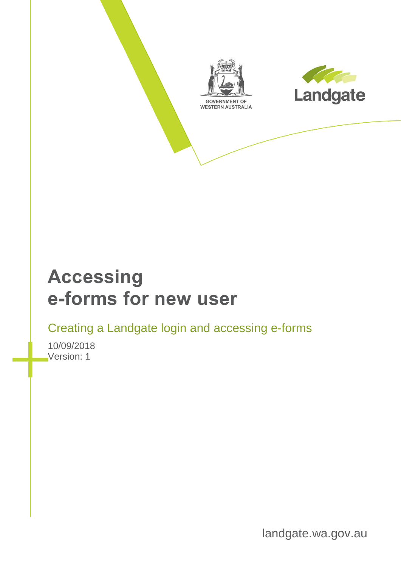



## **Accessing e-forms for new user**

Creating a Landgate login and accessing e-forms

10/09/2018 Version: 1

landgate.wa.gov.au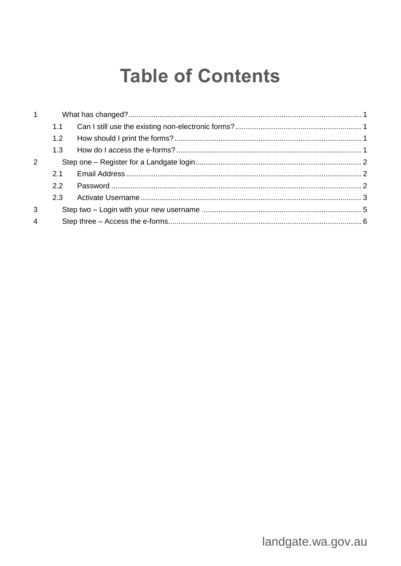## **Table of Contents**

| $1 \quad$      |     |  |
|----------------|-----|--|
|                |     |  |
|                | 1.2 |  |
|                | 1.3 |  |
| 2              |     |  |
|                | 2.1 |  |
|                | 2.2 |  |
|                | 2.3 |  |
| 3              |     |  |
| $\overline{4}$ |     |  |
|                |     |  |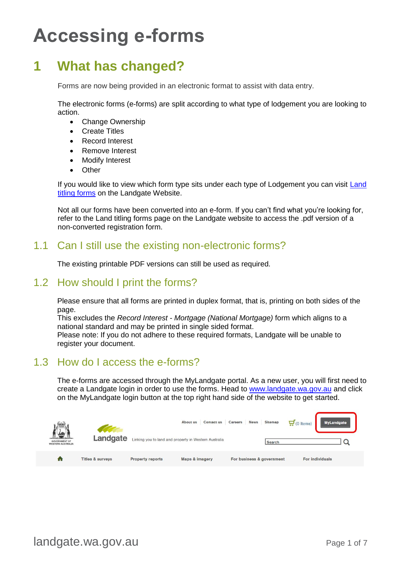# **Accessing e-forms**

## <span id="page-2-0"></span>**1 What has changed?**

Forms are now being provided in an electronic format to assist with data entry.

The electronic forms (e-forms) are split according to what type of lodgement you are looking to action.

- Change Ownership
- Create Titles
- Record Interest
- Remove Interest
- **Modify Interest**
- Other

If you would like to view which form type sits under each type of Lodgement you can visit [Land](https://www0.landgate.wa.gov.au/for-individuals/forms-and-fees/land-titling-forms)  [titling forms](https://www0.landgate.wa.gov.au/for-individuals/forms-and-fees/land-titling-forms) on the Landgate Website.

Not all our forms have been converted into an e-form. If you can't find what you're looking for, refer to the Land titling forms page on the Landgate website to access the .pdf version of a non-converted registration form.

#### <span id="page-2-1"></span>1.1 Can I still use the existing non-electronic forms?

The existing printable PDF versions can still be used as required.

#### <span id="page-2-2"></span>1.2 How should I print the forms?

Please ensure that all forms are printed in duplex format, that is, printing on both sides of the page.

This excludes the *Record Interest - Mortgage (National Mortgage)* form which aligns to a national standard and may be printed in single sided format.

Please note: If you do not adhere to these required formats, Landgate will be unable to register your document.

#### <span id="page-2-3"></span>1.3 How do I access the e-forms?

The e-forms are accessed through the MyLandgate portal. As a new user, you will first need to create a Landgate login in order to use the forms. Head to [www.landgate.wa.gov.au](http://www.landgate.wa.gov.au/) and click on the MyLandgate login button at the top right hand side of the website to get started.

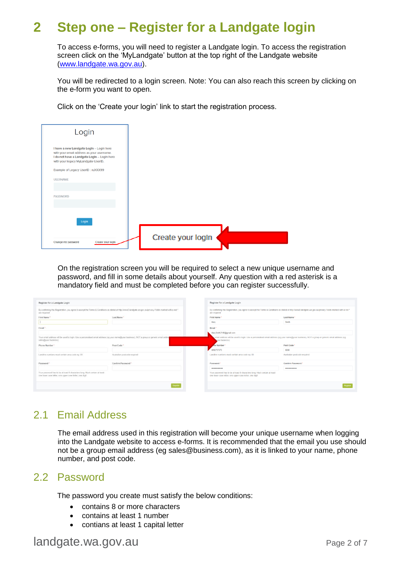## <span id="page-3-0"></span>**2 Step one – Register for a Landgate login**

To access e-forms, you will need to register a Landgate login. To access the registration screen click on the 'MyLandgate' button at the top right of the Landgate website [\(www.landgate.wa.gov.au\)](http://www.landgate.wa.gov.au/).

You will be redirected to a login screen. Note: You can also reach this screen by clicking on the e-form you want to open.

Click on the 'Create your login' link to start the registration process.

| Login                                                                                                                                                                       |                   |  |
|-----------------------------------------------------------------------------------------------------------------------------------------------------------------------------|-------------------|--|
| I have a new Landgate LogIn - LogIn here<br>with your email address as your username.<br>I do not have a Landgate Login - Login here<br>with your legacy MyLandgate UserID. |                   |  |
| Example of Legacy UserID: ruXXX99                                                                                                                                           |                   |  |
| <b>USERNAME</b>                                                                                                                                                             |                   |  |
|                                                                                                                                                                             |                   |  |
| <b>PASSWORD</b>                                                                                                                                                             |                   |  |
|                                                                                                                                                                             |                   |  |
| Login                                                                                                                                                                       |                   |  |
|                                                                                                                                                                             |                   |  |
|                                                                                                                                                                             | Create your logIn |  |
| Change my password<br>Create your login                                                                                                                                     |                   |  |

On the registration screen you will be required to select a new unique username and password, and fill in some details about yourself. Any question with a red asterisk is a mandatory field and must be completed before you can register successfully.

| Register for a Landgate Login                                                                                                                                              |                              |  | Register for a Landgate Login                                                                                                                                              |                                                                                                                                               |  |
|----------------------------------------------------------------------------------------------------------------------------------------------------------------------------|------------------------------|--|----------------------------------------------------------------------------------------------------------------------------------------------------------------------------|-----------------------------------------------------------------------------------------------------------------------------------------------|--|
| By confirming this Registration, you agree to accept the Terms & Conditions as stated at http://www0.landgate.wa.gov.au/privacy Fields marked with a red.*<br>are required |                              |  | By confirming this Registration, you agree to accept the Terms & Conditions as stated at http://www0.landgate.wa.gov.au/privacy Fields marked with a red *<br>are required |                                                                                                                                               |  |
| First Name *                                                                                                                                                               | Last Name *                  |  | First Name                                                                                                                                                                 | Last Name*                                                                                                                                    |  |
|                                                                                                                                                                            |                              |  | Mary                                                                                                                                                                       | Smith                                                                                                                                         |  |
| Fmail*                                                                                                                                                                     |                              |  | Email *                                                                                                                                                                    |                                                                                                                                               |  |
|                                                                                                                                                                            |                              |  | MarySmith2148@gmail.com                                                                                                                                                    |                                                                                                                                               |  |
| Your email address will be used to login. Use a personalised email address (eq.your.name@your.business), NOT a group or generic email addres<br>sales@your.business)       |                              |  | vour business)                                                                                                                                                             | email address will be used to login. Use a personalised email address (eg your.name@your.business), NOT a group or generic email address (eg. |  |
| Phone Number."                                                                                                                                                             | Post Code *                  |  | ne Number*                                                                                                                                                                 | Post Code *                                                                                                                                   |  |
|                                                                                                                                                                            |                              |  | 0892737373                                                                                                                                                                 | 6000                                                                                                                                          |  |
| Landline numbers must contain area code eg: 06                                                                                                                             | Australian postcode required |  | Landline numbers must contain area code eg: 08                                                                                                                             | Australian postcode required                                                                                                                  |  |
| Password *                                                                                                                                                                 | Confirm Password*            |  | Password *                                                                                                                                                                 | Confirm Password *                                                                                                                            |  |
|                                                                                                                                                                            |                              |  |                                                                                                                                                                            |                                                                                                                                               |  |
| Your password has to be at least 8 characters long. Must contain at least<br>one lower case letter, one upper case letter, one digit                                       |                              |  | Your password has to be at least 8 characters long. Must contain at least<br>one lower case letter, one upper case letter, one digit                                       |                                                                                                                                               |  |
|                                                                                                                                                                            | Regist                       |  |                                                                                                                                                                            |                                                                                                                                               |  |

#### <span id="page-3-1"></span>2.1 Email Address

The email address used in this registration will become your unique username when logging into the Landgate website to access e-forms. It is recommended that the email you use should not be a group email address (eg sales@business.com), as it is linked to your name, phone number, and post code.

#### <span id="page-3-2"></span>2.2 Password

The password you create must satisfy the below conditions:

- contains 8 or more characters
- contains at least 1 number
- contians at least 1 capital letter

#### landgate.wa.gov.au Page 2 of 7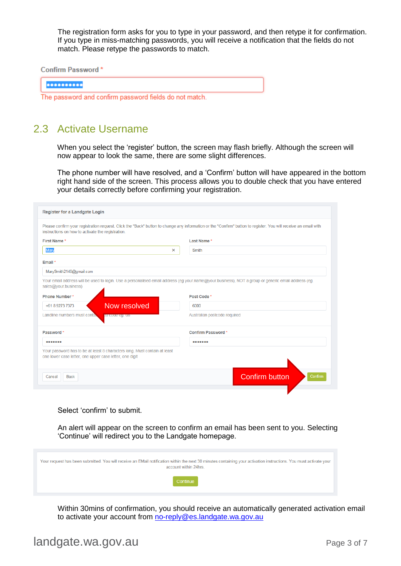The registration form asks for you to type in your password, and then retype it for confirmation. If you type in miss-matching passwords, you will receive a notification that the fields do not match. Please retype the passwords to match.

**Confirm Password\*** 

..........

The password and confirm password fields do not match.

#### <span id="page-4-0"></span>2.3 Activate Username

When you select the 'register' button, the screen may flash briefly. Although the screen will now appear to look the same, there are some slight differences.

The phone number will have resolved, and a 'Confirm' button will have appeared in the bottom right hand side of the screen. This process allows you to double check that you have entered your details correctly before confirming your registration.

| Register for a Landgate Login                                                                                                                                                                                        |                                  |  |  |  |  |
|----------------------------------------------------------------------------------------------------------------------------------------------------------------------------------------------------------------------|----------------------------------|--|--|--|--|
| Please confirm your registration request. Click the "Back" button to change any information or the "Confirm" button to register. You will receive an email with<br>instructions on how to activate the registration. |                                  |  |  |  |  |
| First Name*<br>Last Name*                                                                                                                                                                                            |                                  |  |  |  |  |
| Mary<br>$\boldsymbol{\mathsf{x}}$                                                                                                                                                                                    | Smith                            |  |  |  |  |
| Email *                                                                                                                                                                                                              |                                  |  |  |  |  |
| MarySmith2148@gmail.com                                                                                                                                                                                              |                                  |  |  |  |  |
| Your email address will be used to login. Use a personalised email address (eg your.name@your.business), NOT a group or generic email address (eg.<br>sales@your.business)                                           |                                  |  |  |  |  |
| <b>Phone Number*</b>                                                                                                                                                                                                 | Post Code*                       |  |  |  |  |
| Now resolved<br>+61 8 9273 7373                                                                                                                                                                                      | 6000                             |  |  |  |  |
| Landline numbers must conta<br>pa coue ey. Oo                                                                                                                                                                        | Australian postcode required     |  |  |  |  |
| Password*                                                                                                                                                                                                            | Confirm Password*                |  |  |  |  |
|                                                                                                                                                                                                                      |                                  |  |  |  |  |
| Your password has to be at least 8 characters long. Must contain at least<br>one lower case letter, one upper case letter, one digit                                                                                 |                                  |  |  |  |  |
| <b>Back</b><br>Cancel                                                                                                                                                                                                | <b>Confirm button</b><br>Confirm |  |  |  |  |
|                                                                                                                                                                                                                      |                                  |  |  |  |  |

Select 'confirm' to submit.

An alert will appear on the screen to confirm an email has been sent to you. Selecting 'Continue' will redirect you to the Landgate homepage.

| Your request has been submitted. You will receive an EMail notification within the next 30 minutes containing your activation instructions. You must activate your<br>account within 24hrs. |  |
|---------------------------------------------------------------------------------------------------------------------------------------------------------------------------------------------|--|
| Continue                                                                                                                                                                                    |  |

Within 30mins of confirmation, you should receive an automatically generated activation email to activate your account from [no-reply@es.landgate.wa.gov.au](mailto:no-reply@es.landgate.wa.gov.au)

#### landgate.wa.gov.au Page 3 of 7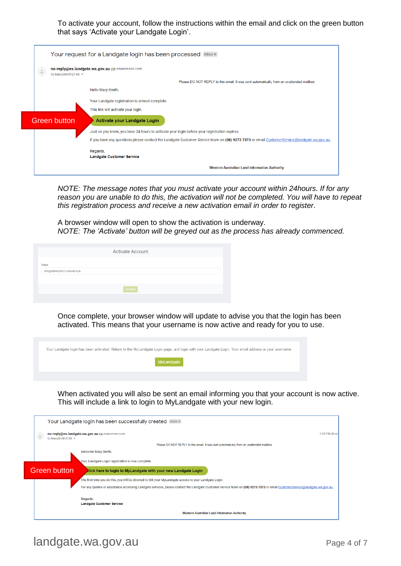To activate your account, follow the instructions within the email and click on the green button that says 'Activate your Landgate Login'.

| $\frac{1}{\alpha}$<br>to MarySmith2148 = | no-reply@es.landgate.wa.gov.au via amazonses.com                                                                                           |
|------------------------------------------|--------------------------------------------------------------------------------------------------------------------------------------------|
|                                          | Please DO NOT REPLY to this email. It was sent automatically from an unattended mailbox                                                    |
|                                          | Hello Mary Smith,                                                                                                                          |
|                                          | Your Landgate registration is almost complete.                                                                                             |
|                                          | This link will activate your login.                                                                                                        |
| <b>Green button</b>                      | Activate your Landgate Login                                                                                                               |
|                                          | Just so you know, you have 24 hours to activate your login before your registration expires.                                               |
|                                          | If you have any questions please contact the Landgate Customer Service team on (08) 9273 7373 or email CustomerService@landgate.wa.gov.au. |
|                                          | Regards,                                                                                                                                   |
|                                          |                                                                                                                                            |

*NOTE: The message notes that you must activate your account within 24hours. If for any reason you are unable to do this, the activation will not be completed. You will have to repeat this registration process and receive a new activation email in order to register*.

A browser window will open to show the activation is underway. *NOTE: The 'Activate' button will be greyed out as the process has already commenced.*

|                        | <b>Activate Account</b> |  |
|------------------------|-------------------------|--|
| Token                  |                         |  |
| VR2gbRB4QZ6C1vTaz4D1pA |                         |  |
|                        |                         |  |
|                        | Activate                |  |

Once complete, your browser window will update to advise you that the login has been activated. This means that your username is now active and ready for you to use.

| Your Landgate login has been activated. Return to the MyLandgate Login page, and login with your Landgate Login. Your email address is your username. |
|-------------------------------------------------------------------------------------------------------------------------------------------------------|
| MyLandgate                                                                                                                                            |
|                                                                                                                                                       |

When activated you will also be sent an email informing you that your account is now active. This will include a link to login to MyLandgate with your new login.

|                                                                                                              | Your Landgate login has been successfully created Inbox x                                                                                                                   |  |  |  |  |
|--------------------------------------------------------------------------------------------------------------|-----------------------------------------------------------------------------------------------------------------------------------------------------------------------------|--|--|--|--|
| no-reply@es.landgate.wa.gov.au via amazonses.com<br>1:50 PM (8 mi<br>$\stackrel{0}{-}$<br>to MarySmith2148 = |                                                                                                                                                                             |  |  |  |  |
|                                                                                                              | Please DO NOT REPLY to this email. It was sent automatically from an unattended mailbox                                                                                     |  |  |  |  |
|                                                                                                              | Welcome Mary Smith,                                                                                                                                                         |  |  |  |  |
|                                                                                                              | Your Landgate Login registration is now complete.                                                                                                                           |  |  |  |  |
| <b>Green button</b>                                                                                          | Hick here to login to MyLandgate with your new Landgate Login                                                                                                               |  |  |  |  |
|                                                                                                              | The first time you do this, you will be directed to link your MyLandgate access to your Landgate Login.                                                                     |  |  |  |  |
|                                                                                                              | For any queries or assistance accessing Landgate services, please contact the Landgate Customer Service team on (08) 9273 7373 or email CustomerService@landgate.wa.gov.au, |  |  |  |  |
|                                                                                                              | Regards,<br><b>Landgate Customer Service</b>                                                                                                                                |  |  |  |  |
|                                                                                                              | <b>Western Australian Land Information Authority</b>                                                                                                                        |  |  |  |  |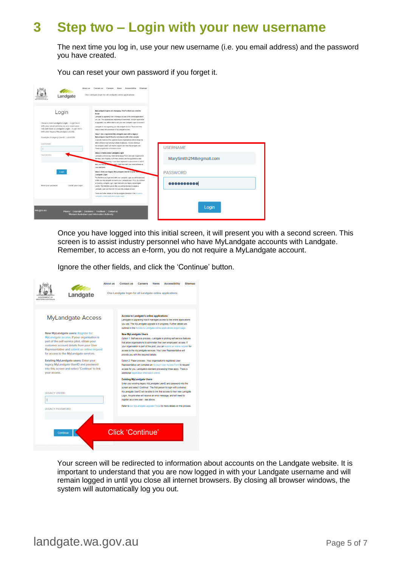### <span id="page-6-0"></span>**3 Step two – Login with your new username**

The next time you log in, use your new username (i.e. you email address) and the password you have created.

You can reset your own password if you forget it.



Once you have logged into this initial screen, it will present you with a second screen. This screen is to assist industry personnel who have MyLandgate accounts with Landgate. Remember, to access an e-form, you do not require a MyLandgate account.

Ignore the other fields, and click the 'Continue' button.

| <b><i>NESTERN AUSTRALIA</i></b>                                | Landgate                                                                                                                                                                                                                                                                                                                                                                                                                                   | <b>About us</b> | <b>Contact us</b><br><b>Accessibility</b><br>Careers<br><b>News</b><br><b>Siteman</b><br>One Landgate login for all Landgate online applications                                                                                                                                                                                                                                                                                                                                                                                                                                                                                                                                                                                                                                                                                                                                                                                                                                                                                                                                                                                                                                                                                                                                                                                                                                     |
|----------------------------------------------------------------|--------------------------------------------------------------------------------------------------------------------------------------------------------------------------------------------------------------------------------------------------------------------------------------------------------------------------------------------------------------------------------------------------------------------------------------------|-----------------|--------------------------------------------------------------------------------------------------------------------------------------------------------------------------------------------------------------------------------------------------------------------------------------------------------------------------------------------------------------------------------------------------------------------------------------------------------------------------------------------------------------------------------------------------------------------------------------------------------------------------------------------------------------------------------------------------------------------------------------------------------------------------------------------------------------------------------------------------------------------------------------------------------------------------------------------------------------------------------------------------------------------------------------------------------------------------------------------------------------------------------------------------------------------------------------------------------------------------------------------------------------------------------------------------------------------------------------------------------------------------------------|
| your access.<br><b>LEGACY USERID</b><br><b>LEGACY PASSWORD</b> | <b>MyLandgate Access</b><br>New MyLandgate users: Register for<br>MyLandgate access. If your organisation is<br>part of the self-service pilot, obtain your<br>customer account details from your User<br>Representative and submit an online request<br>for access to the MyLandgate services.<br><b>Existing MyLandgate users: Enter your</b><br>legacy MyLandgate UserID and password<br>into this screen and select 'Continue' to link |                 | <b>Access to Landgate's online applications</b><br>Landgate is upgrading how it manages access to the online applications<br>you use. The MyLandgate upgrade is in progress. Further details are<br>outlined in the Access to Landgate online applications project page.<br><b>New MyLandgate Users</b><br>Option 1: Self-service process - Landgate is piloting self-service features<br>that allow organisations to administer their own employees' access. If<br>your organisation is part of this pilot, you can submit an online request for<br>access to the MyLandgate services. Your User Representative will<br>provide you with the required details.<br>Option 2: Paper process - Your organisation's registered User<br>Representative can complete an Account User Access Form to request<br>access for you. Landgate's standard processing times apply. There is<br>additional registration information online.<br><b>Existing MyLandgate Users</b><br>Enter your existing legacy MyLandgate UserID and password into this<br>screen and select 'Continue'. The first person to login with a shared<br>MyLandgate UserID will be able to link that access to their new Landgate<br>Login. Anyone else will receive an error message, and will need to<br>register as a new user - see above.<br>Refer to our MyLandgate upgrade FAQs for more details on this process. |
| Continue                                                       |                                                                                                                                                                                                                                                                                                                                                                                                                                            |                 | Click 'Continue'                                                                                                                                                                                                                                                                                                                                                                                                                                                                                                                                                                                                                                                                                                                                                                                                                                                                                                                                                                                                                                                                                                                                                                                                                                                                                                                                                                     |

Your screen will be redirected to information about accounts on the Landgate website. It is important to understand that you are now logged in with your Landgate username and will remain logged in until you close all internet browsers. By closing all browser windows, the system will automatically log you out.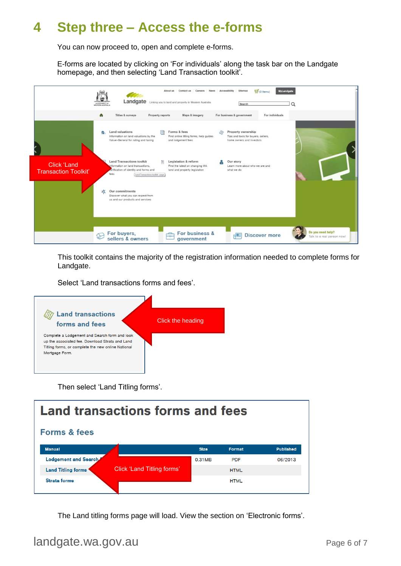## <span id="page-7-0"></span>**4 Step three – Access the e-forms**

You can now proceed to, open and complete e-forms.

E-forms are located by clicking on 'For individuals' along the task bar on the Landgate homepage, and then selecting 'Land Transaction toolkit'.



This toolkit contains the majority of the registration information needed to complete forms for Landgate.

Select 'Land transactions forms and fees'.



Then select 'Land Titling forms'.



The Land titling forms page will load. View the section on 'Electronic forms'.